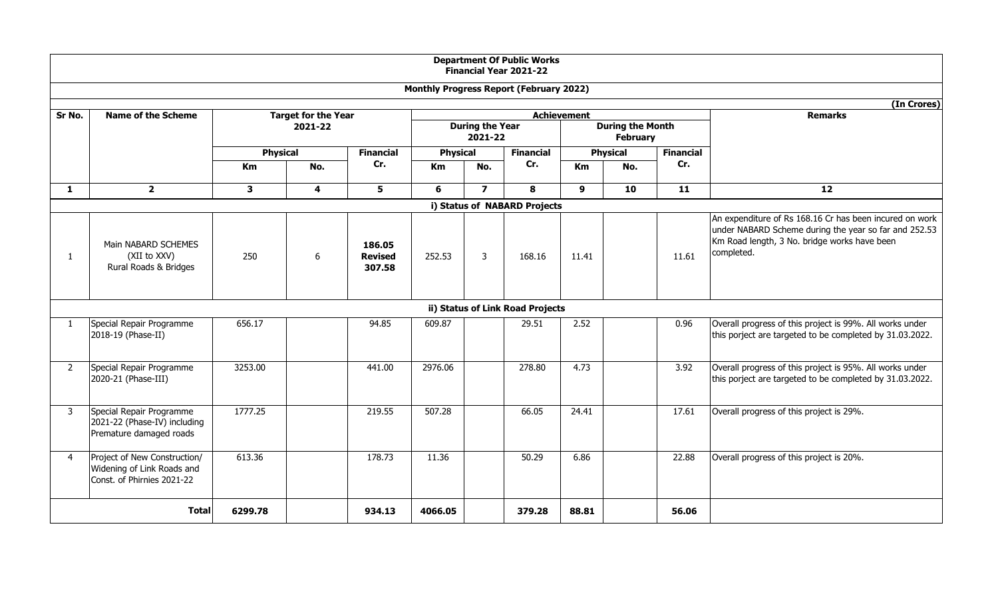|                |                                                                                          |                            |                                                  |                                    |                 |                | <b>Department Of Public Works</b><br><b>Financial Year 2021-22</b> |                 |                |                  |                                                                                                                                                                                |
|----------------|------------------------------------------------------------------------------------------|----------------------------|--------------------------------------------------|------------------------------------|-----------------|----------------|--------------------------------------------------------------------|-----------------|----------------|------------------|--------------------------------------------------------------------------------------------------------------------------------------------------------------------------------|
|                |                                                                                          |                            |                                                  |                                    |                 |                | <b>Monthly Progress Report (February 2022)</b>                     |                 |                |                  |                                                                                                                                                                                |
|                |                                                                                          |                            |                                                  |                                    |                 |                |                                                                    |                 |                |                  | (In Crores)                                                                                                                                                                    |
| Sr No.         | <b>Name of the Scheme</b>                                                                | <b>Target for the Year</b> | Achievement<br><b>During the Year</b><br>2021-22 |                                    |                 |                | <b>During the Month</b><br><b>February</b>                         |                 | <b>Remarks</b> |                  |                                                                                                                                                                                |
|                |                                                                                          | <b>Physical</b>            |                                                  | <b>Financial</b>                   | <b>Physical</b> |                | <b>Financial</b>                                                   | <b>Physical</b> |                | <b>Financial</b> |                                                                                                                                                                                |
|                |                                                                                          | Km                         | No.                                              | Cr.                                | Km<br>No.       |                | Cr.                                                                | Km<br>No.       |                | Cr.              |                                                                                                                                                                                |
| $\mathbf{1}$   | $\overline{2}$                                                                           | $\mathbf{3}$               | $\overline{\mathbf{4}}$                          | 5                                  | 6               | $\overline{7}$ | 8                                                                  | 9               | 10             | $\overline{11}$  | $\overline{12}$                                                                                                                                                                |
|                |                                                                                          |                            |                                                  |                                    |                 |                | i) Status of NABARD Projects                                       |                 |                |                  |                                                                                                                                                                                |
| 1              | Main NABARD SCHEMES<br>(XII to XXV)<br>Rural Roads & Bridges                             | 250                        | 6                                                | 186.05<br><b>Revised</b><br>307.58 | 252.53          | 3              | 168.16                                                             | 11.41           |                | 11.61            | An expenditure of Rs 168.16 Cr has been incured on work<br>under NABARD Scheme during the year so far and 252.53<br>Km Road length, 3 No. bridge works have been<br>completed. |
|                | ii) Status of Link Road Projects                                                         |                            |                                                  |                                    |                 |                |                                                                    |                 |                |                  |                                                                                                                                                                                |
| $\mathbf{1}$   | Special Repair Programme<br>2018-19 (Phase-II)                                           | 656.17                     |                                                  | 94.85                              | 609.87          |                | 29.51                                                              | 2.52            |                | 0.96             | Overall progress of this project is 99%. All works under<br>this porject are targeted to be completed by 31.03.2022.                                                           |
| $\overline{2}$ | Special Repair Programme<br>2020-21 (Phase-III)                                          | 3253.00                    |                                                  | 441.00                             | 2976.06         |                | 278.80                                                             | 4.73            |                | 3.92             | Overall progress of this project is 95%. All works under<br>this porject are targeted to be completed by 31.03.2022.                                                           |
| 3              | Special Repair Programme<br>2021-22 (Phase-IV) including<br>Premature damaged roads      | 1777.25                    |                                                  | 219.55                             | 507.28          |                | 66.05                                                              | 24.41           |                | 17.61            | Overall progress of this project is 29%.                                                                                                                                       |
| $\overline{4}$ | Project of New Construction/<br>Widening of Link Roads and<br>Const. of Phirnies 2021-22 | 613.36                     |                                                  | 178.73                             | 11.36           |                | 50.29                                                              | 6.86            |                | 22.88            | Overall progress of this project is 20%.                                                                                                                                       |
|                | <b>Total</b>                                                                             | 6299.78                    |                                                  | 934.13                             | 4066.05         |                | 379.28                                                             | 88.81           |                | 56.06            |                                                                                                                                                                                |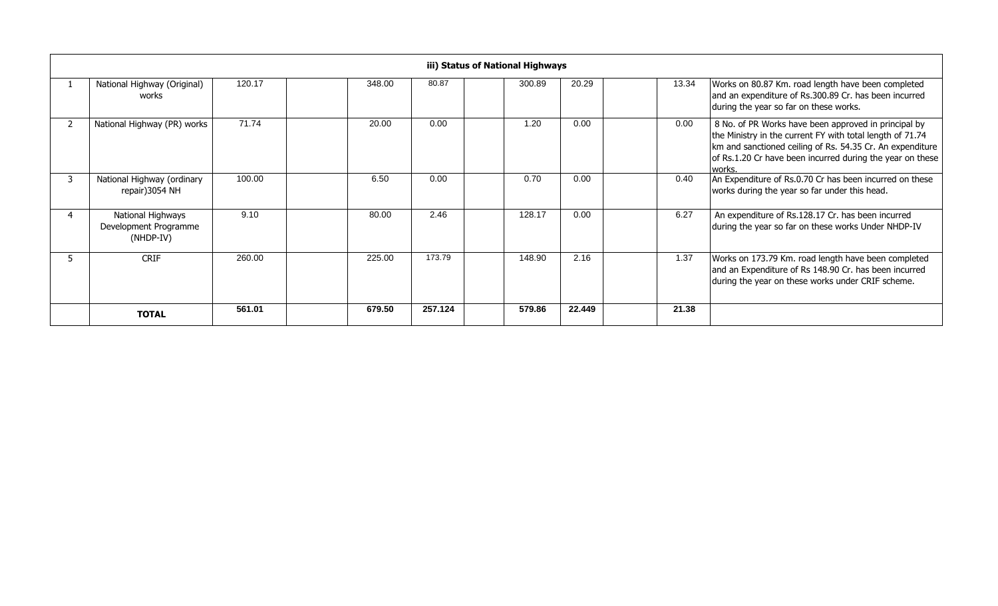|   | iii) Status of National Highways                        |        |        |         |  |        |        |  |       |                                                                                                                                                                                                                                                       |  |  |
|---|---------------------------------------------------------|--------|--------|---------|--|--------|--------|--|-------|-------------------------------------------------------------------------------------------------------------------------------------------------------------------------------------------------------------------------------------------------------|--|--|
|   | National Highway (Original)<br>works                    | 120.17 | 348.00 | 80.87   |  | 300.89 | 20.29  |  | 13.34 | Works on 80.87 Km. road length have been completed<br>and an expenditure of Rs.300.89 Cr. has been incurred<br>during the year so far on these works.                                                                                                 |  |  |
|   | National Highway (PR) works                             | 71.74  | 20.00  | 0.00    |  | 1.20   | 0.00   |  | 0.00  | 8 No. of PR Works have been approved in principal by<br>the Ministry in the current FY with total length of 71.74<br>km and sanctioned ceiling of Rs. 54.35 Cr. An expenditure<br>of Rs.1.20 Cr have been incurred during the year on these<br>works. |  |  |
|   | National Highway (ordinary<br>repair) 3054 NH           | 100.00 | 6.50   | 0.00    |  | 0.70   | 0.00   |  | 0.40  | An Expenditure of Rs.0.70 Cr has been incurred on these<br>works during the year so far under this head.                                                                                                                                              |  |  |
| 4 | National Highways<br>Development Programme<br>(NHDP-IV) | 9.10   | 80.00  | 2.46    |  | 128.17 | 0.00   |  | 6.27  | An expenditure of Rs.128.17 Cr. has been incurred<br>during the year so far on these works Under NHDP-IV                                                                                                                                              |  |  |
|   | <b>CRIF</b>                                             | 260.00 | 225.00 | 173.79  |  | 148.90 | 2.16   |  | 1.37  | Works on 173.79 Km. road length have been completed<br>and an Expenditure of Rs 148.90 Cr. has been incurred<br>during the year on these works under CRIF scheme.                                                                                     |  |  |
|   | <b>TOTAL</b>                                            | 561.01 | 679.50 | 257.124 |  | 579.86 | 22.449 |  | 21.38 |                                                                                                                                                                                                                                                       |  |  |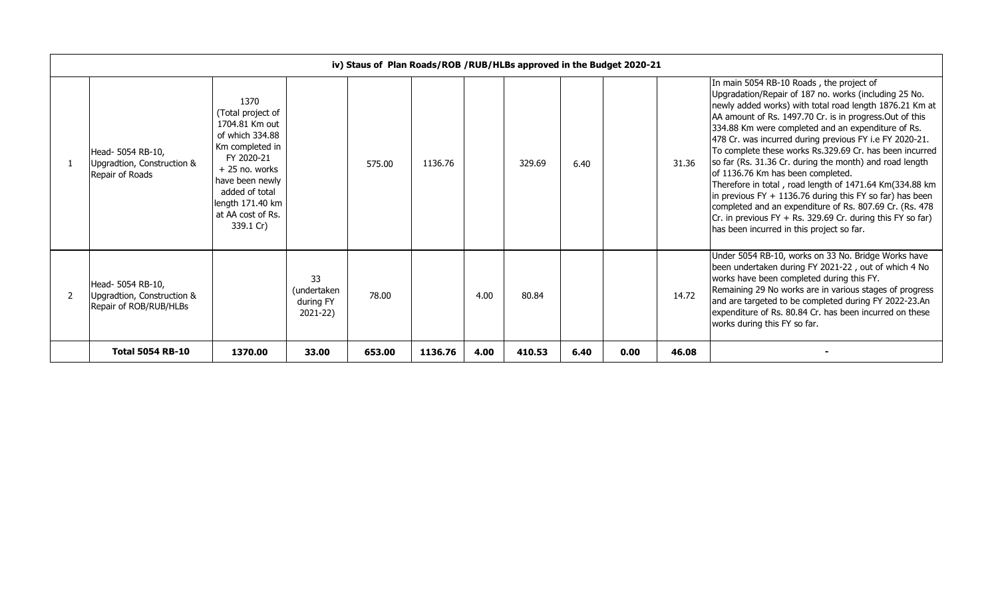| iv) Staus of Plan Roads/ROB / RUB/HLBs approved in the Budget 2020-21     |                                                                                                                                                                                                               |                                            |        |         |      |        |      |      |       |                                                                                                                                                                                                                                                                                                                                                                                                                                                                                                                                                                                                                                                                                                                                                                                                      |
|---------------------------------------------------------------------------|---------------------------------------------------------------------------------------------------------------------------------------------------------------------------------------------------------------|--------------------------------------------|--------|---------|------|--------|------|------|-------|------------------------------------------------------------------------------------------------------------------------------------------------------------------------------------------------------------------------------------------------------------------------------------------------------------------------------------------------------------------------------------------------------------------------------------------------------------------------------------------------------------------------------------------------------------------------------------------------------------------------------------------------------------------------------------------------------------------------------------------------------------------------------------------------------|
| Head- 5054 RB-10,<br>Upgradtion, Construction &<br>Repair of Roads        | 1370<br>(Total project of<br>1704.81 Km out<br>of which 334.88<br>Km completed in<br>FY 2020-21<br>$+25$ no. works<br>have been newly<br>added of total<br>length 171.40 km<br>at AA cost of Rs.<br>339.1 Cr) |                                            | 575.00 | 1136.76 |      | 329.69 | 6.40 |      | 31.36 | In main 5054 RB-10 Roads, the project of<br>Upgradation/Repair of 187 no. works (including 25 No.<br>newly added works) with total road length 1876.21 Km at<br>AA amount of Rs. 1497.70 Cr. is in progress.Out of this<br>334.88 Km were completed and an expenditure of Rs.<br>478 Cr. was incurred during previous FY i.e FY 2020-21.<br>To complete these works Rs.329.69 Cr. has been incurred<br>so far (Rs. 31.36 Cr. during the month) and road length<br>of 1136.76 Km has been completed.<br>Therefore in total, road length of 1471.64 Km(334.88 km<br>in previous FY $+$ 1136.76 during this FY so far) has been<br>completed and an expenditure of Rs. 807.69 Cr. (Rs. 478<br>$Cr.$ in previous FY + Rs. 329.69 Cr. during this FY so far)<br>has been incurred in this project so far. |
| Head- 5054 RB-10,<br>Upgradtion, Construction &<br>Repair of ROB/RUB/HLBs |                                                                                                                                                                                                               | 33<br>(undertaken<br>during FY<br>2021-22) | 78.00  |         | 4.00 | 80.84  |      |      | 14.72 | Under 5054 RB-10, works on 33 No. Bridge Works have<br>been undertaken during FY 2021-22, out of which 4 No<br>works have been completed during this FY.<br>Remaining 29 No works are in various stages of progress<br>and are targeted to be completed during FY 2022-23.An<br>expenditure of Rs. 80.84 Cr. has been incurred on these<br>works during this FY so far.                                                                                                                                                                                                                                                                                                                                                                                                                              |
| <b>Total 5054 RB-10</b>                                                   | 1370.00                                                                                                                                                                                                       | 33.00                                      | 653.00 | 1136.76 | 4.00 | 410.53 | 6.40 | 0.00 | 46.08 |                                                                                                                                                                                                                                                                                                                                                                                                                                                                                                                                                                                                                                                                                                                                                                                                      |